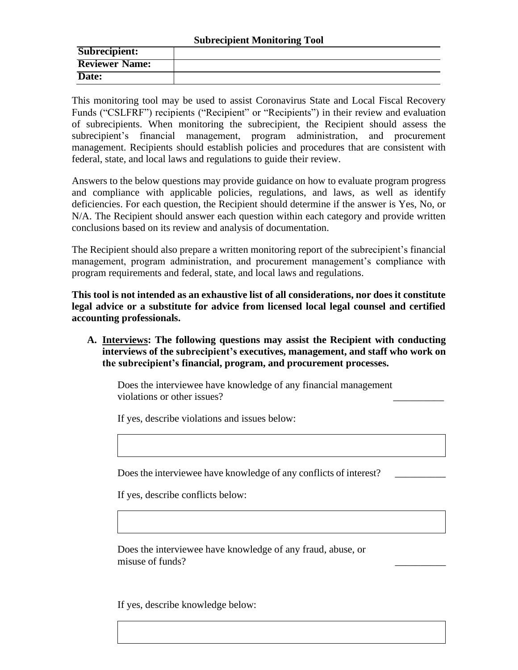| Subrecipient:         |  |
|-----------------------|--|
| <b>Reviewer Name:</b> |  |
| Date:                 |  |

This monitoring tool may be used to assist Coronavirus State and Local Fiscal Recovery Funds ("CSLFRF") recipients ("Recipient" or "Recipients") in their review and evaluation of subrecipients. When monitoring the subrecipient, the Recipient should assess the subrecipient's financial management, program administration, and procurement management. Recipients should establish policies and procedures that are consistent with federal, state, and local laws and regulations to guide their review.

Answers to the below questions may provide guidance on how to evaluate program progress and compliance with applicable policies, regulations, and laws, as well as identify deficiencies. For each question, the Recipient should determine if the answer is Yes, No, or N/A. The Recipient should answer each question within each category and provide written conclusions based on its review and analysis of documentation.

The Recipient should also prepare a written monitoring report of the subrecipient's financial management, program administration, and procurement management's compliance with program requirements and federal, state, and local laws and regulations.

**This tool is not intended as an exhaustive list of all considerations, nor does it constitute legal advice or a substitute for advice from licensed local legal counsel and certified accounting professionals.**

**A. Interviews: The following questions may assist the Recipient with conducting interviews of the subrecipient's executives, management, and staff who work on the subrecipient's financial, program, and procurement processes.**

Does the interviewee have knowledge of any financial management violations or other issues?

If yes, describe violations and issues below:

Does the interviewee have knowledge of any conflicts of interest?

If yes, describe conflicts below:

Does the interviewee have knowledge of any fraud, abuse, or misuse of funds?

If yes, describe knowledge below: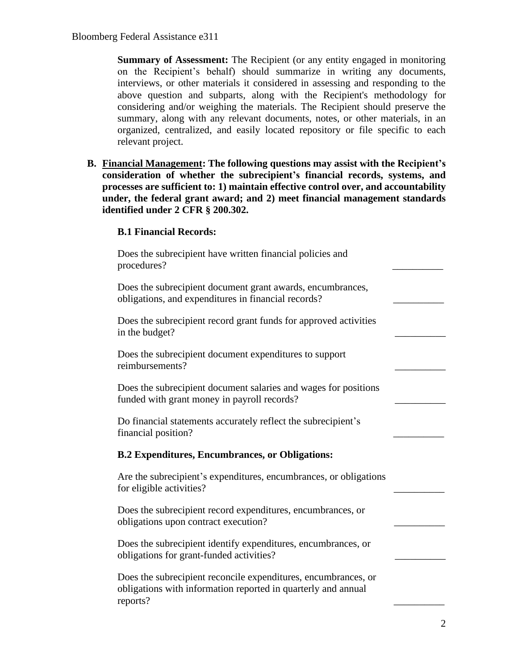**Summary of Assessment:** The Recipient (or any entity engaged in monitoring on the Recipient's behalf) should summarize in writing any documents, interviews, or other materials it considered in assessing and responding to the above question and subparts, along with the Recipient's methodology for considering and/or weighing the materials. The Recipient should preserve the summary, along with any relevant documents, notes, or other materials, in an organized, centralized, and easily located repository or file specific to each relevant project.

**B. Financial Management: The following questions may assist with the Recipient's consideration of whether the subrecipient's financial records, systems, and processes are sufficient to: 1) maintain effective control over, and accountability under, the federal grant award; and 2) meet financial management standards identified under 2 CFR § 200.302.**

## **B.1 Financial Records:**

| Does the subrecipient have written financial policies and<br>procedures?                                                                    |  |
|---------------------------------------------------------------------------------------------------------------------------------------------|--|
| Does the subrecipient document grant awards, encumbrances,<br>obligations, and expenditures in financial records?                           |  |
| Does the subrecipient record grant funds for approved activities<br>in the budget?                                                          |  |
| Does the subrecipient document expenditures to support<br>reimbursements?                                                                   |  |
| Does the subrecipient document salaries and wages for positions<br>funded with grant money in payroll records?                              |  |
| Do financial statements accurately reflect the subrecipient's<br>financial position?                                                        |  |
| <b>B.2 Expenditures, Encumbrances, or Obligations:</b>                                                                                      |  |
| Are the subrecipient's expenditures, encumbrances, or obligations<br>for eligible activities?                                               |  |
| Does the subrecipient record expenditures, encumbrances, or<br>obligations upon contract execution?                                         |  |
| Does the subrecipient identify expenditures, encumbrances, or<br>obligations for grant-funded activities?                                   |  |
| Does the subrecipient reconcile expenditures, encumbrances, or<br>obligations with information reported in quarterly and annual<br>reports? |  |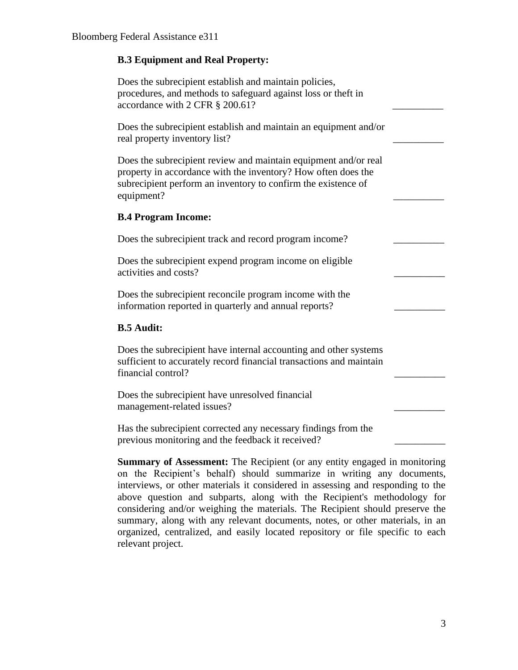## **B.3 Equipment and Real Property:**

| Does the subrecipient establish and maintain policies,<br>procedures, and methods to safeguard against loss or theft in<br>accordance with 2 CFR § 200.61?                                                      |  |
|-----------------------------------------------------------------------------------------------------------------------------------------------------------------------------------------------------------------|--|
| Does the subrecipient establish and maintain an equipment and/or<br>real property inventory list?                                                                                                               |  |
| Does the subrecipient review and maintain equipment and/or real<br>property in accordance with the inventory? How often does the<br>subrecipient perform an inventory to confirm the existence of<br>equipment? |  |
| <b>B.4 Program Income:</b>                                                                                                                                                                                      |  |
| Does the subrecipient track and record program income?                                                                                                                                                          |  |
| Does the subrecipient expend program income on eligible<br>activities and costs?                                                                                                                                |  |
| Does the subrecipient reconcile program income with the<br>information reported in quarterly and annual reports?                                                                                                |  |
| <b>B.5 Audit:</b>                                                                                                                                                                                               |  |
| Does the subrecipient have internal accounting and other systems<br>sufficient to accurately record financial transactions and maintain<br>financial control?                                                   |  |
| Does the subrecipient have unresolved financial<br>management-related issues?                                                                                                                                   |  |
| Has the subrecipient corrected any necessary findings from the<br>previous monitoring and the feedback it received?                                                                                             |  |

**Summary of Assessment:** The Recipient (or any entity engaged in monitoring on the Recipient's behalf) should summarize in writing any documents, interviews, or other materials it considered in assessing and responding to the above question and subparts, along with the Recipient's methodology for considering and/or weighing the materials. The Recipient should preserve the summary, along with any relevant documents, notes, or other materials, in an organized, centralized, and easily located repository or file specific to each relevant project.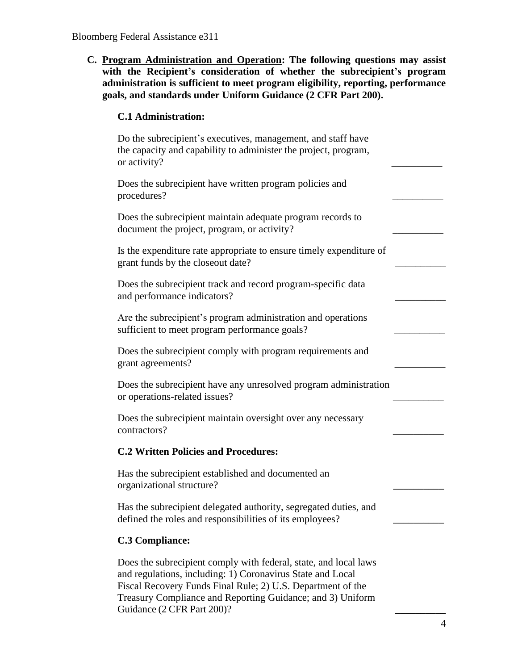**C. Program Administration and Operation: The following questions may assist with the Recipient's consideration of whether the subrecipient's program administration is sufficient to meet program eligibility, reporting, performance goals, and standards under Uniform Guidance (2 CFR Part 200).**

## **C.1 Administration:**

| Do the subrecipient's executives, management, and staff have<br>the capacity and capability to administer the project, program,<br>or activity?                                                                                                                                           |
|-------------------------------------------------------------------------------------------------------------------------------------------------------------------------------------------------------------------------------------------------------------------------------------------|
| Does the subrecipient have written program policies and<br>procedures?                                                                                                                                                                                                                    |
| Does the subrecipient maintain adequate program records to<br>document the project, program, or activity?                                                                                                                                                                                 |
| Is the expenditure rate appropriate to ensure timely expenditure of<br>grant funds by the closeout date?                                                                                                                                                                                  |
| Does the subrecipient track and record program-specific data<br>and performance indicators?                                                                                                                                                                                               |
| Are the subrecipient's program administration and operations<br>sufficient to meet program performance goals?                                                                                                                                                                             |
| Does the subrecipient comply with program requirements and<br>grant agreements?                                                                                                                                                                                                           |
| Does the subrecipient have any unresolved program administration<br>or operations-related issues?                                                                                                                                                                                         |
| Does the subrecipient maintain oversight over any necessary<br>contractors?                                                                                                                                                                                                               |
| <b>C.2 Written Policies and Procedures:</b>                                                                                                                                                                                                                                               |
| Has the subrecipient established and documented an<br>organizational structure?                                                                                                                                                                                                           |
| Has the subrecipient delegated authority, segregated duties, and<br>defined the roles and responsibilities of its employees?                                                                                                                                                              |
| <b>C.3 Compliance:</b>                                                                                                                                                                                                                                                                    |
| Does the subrecipient comply with federal, state, and local laws<br>and regulations, including: 1) Coronavirus State and Local<br>Fiscal Recovery Funds Final Rule; 2) U.S. Department of the<br>Treasury Compliance and Reporting Guidance; and 3) Uniform<br>Guidance (2 CFR Part 200)? |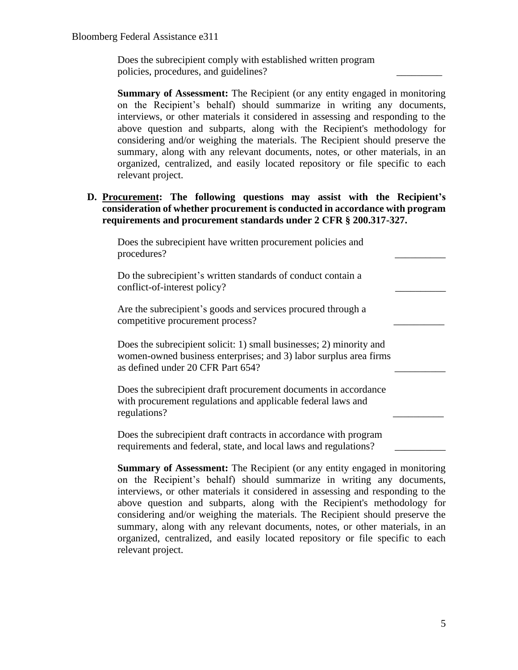Does the subrecipient comply with established written program policies, procedures, and guidelines? \_\_\_\_\_\_\_\_\_

**Summary of Assessment:** The Recipient (or any entity engaged in monitoring on the Recipient's behalf) should summarize in writing any documents, interviews, or other materials it considered in assessing and responding to the above question and subparts, along with the Recipient's methodology for considering and/or weighing the materials. The Recipient should preserve the summary, along with any relevant documents, notes, or other materials, in an organized, centralized, and easily located repository or file specific to each relevant project.

## **D. Procurement: The following questions may assist with the Recipient's consideration of whether procurement is conducted in accordance with program requirements and procurement standards under 2 CFR § 200.317-327.**

| Does the subrecipient have written procurement policies and<br>procedures?                                                                                                    |  |
|-------------------------------------------------------------------------------------------------------------------------------------------------------------------------------|--|
| Do the subrecipient's written standards of conduct contain a<br>conflict-of-interest policy?                                                                                  |  |
| Are the subrecipient's goods and services procured through a<br>competitive procurement process?                                                                              |  |
| Does the subrecipient solicit: 1) small businesses; 2) minority and<br>women-owned business enterprises; and 3) labor surplus area firms<br>as defined under 20 CFR Part 654? |  |
| Does the subrecipient draft procurement documents in accordance<br>with procurement regulations and applicable federal laws and<br>regulations?                               |  |
| Does the subrecipient draft contracts in accordance with program<br>requirements and federal, state, and local laws and regulations?                                          |  |

**Summary of Assessment:** The Recipient (or any entity engaged in monitoring on the Recipient's behalf) should summarize in writing any documents, interviews, or other materials it considered in assessing and responding to the above question and subparts, along with the Recipient's methodology for considering and/or weighing the materials. The Recipient should preserve the summary, along with any relevant documents, notes, or other materials, in an organized, centralized, and easily located repository or file specific to each relevant project.